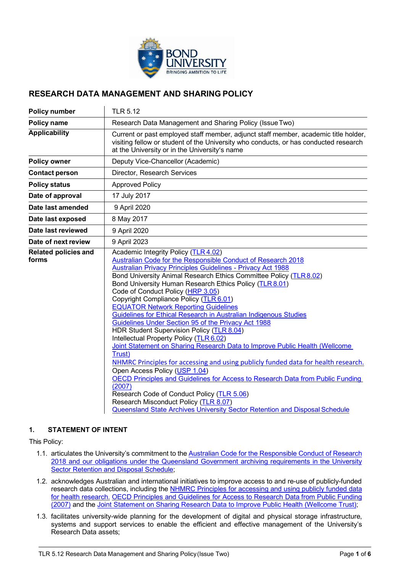

# **RESEARCH DATA MANAGEMENT AND SHARING POLICY**

| <b>Policy number</b>                 | <b>TLR 5.12</b>                                                                                                                                                                                                                                                                                                                                                                                                                                                                                                                                                                                                                                                                                                                                                                                                                                                                                                                                                                                                                                                                                                                                |  |
|--------------------------------------|------------------------------------------------------------------------------------------------------------------------------------------------------------------------------------------------------------------------------------------------------------------------------------------------------------------------------------------------------------------------------------------------------------------------------------------------------------------------------------------------------------------------------------------------------------------------------------------------------------------------------------------------------------------------------------------------------------------------------------------------------------------------------------------------------------------------------------------------------------------------------------------------------------------------------------------------------------------------------------------------------------------------------------------------------------------------------------------------------------------------------------------------|--|
| <b>Policy name</b>                   | Research Data Management and Sharing Policy (Issue Two)                                                                                                                                                                                                                                                                                                                                                                                                                                                                                                                                                                                                                                                                                                                                                                                                                                                                                                                                                                                                                                                                                        |  |
| <b>Applicability</b>                 | Current or past employed staff member, adjunct staff member, academic title holder,<br>visiting fellow or student of the University who conducts, or has conducted research<br>at the University or in the University's name                                                                                                                                                                                                                                                                                                                                                                                                                                                                                                                                                                                                                                                                                                                                                                                                                                                                                                                   |  |
| <b>Policy owner</b>                  | Deputy Vice-Chancellor (Academic)                                                                                                                                                                                                                                                                                                                                                                                                                                                                                                                                                                                                                                                                                                                                                                                                                                                                                                                                                                                                                                                                                                              |  |
| <b>Contact person</b>                | Director, Research Services                                                                                                                                                                                                                                                                                                                                                                                                                                                                                                                                                                                                                                                                                                                                                                                                                                                                                                                                                                                                                                                                                                                    |  |
| <b>Policy status</b>                 | <b>Approved Policy</b>                                                                                                                                                                                                                                                                                                                                                                                                                                                                                                                                                                                                                                                                                                                                                                                                                                                                                                                                                                                                                                                                                                                         |  |
| Date of approval                     | 17 July 2017                                                                                                                                                                                                                                                                                                                                                                                                                                                                                                                                                                                                                                                                                                                                                                                                                                                                                                                                                                                                                                                                                                                                   |  |
| Date last amended                    | 9 April 2020                                                                                                                                                                                                                                                                                                                                                                                                                                                                                                                                                                                                                                                                                                                                                                                                                                                                                                                                                                                                                                                                                                                                   |  |
| Date last exposed                    | 8 May 2017                                                                                                                                                                                                                                                                                                                                                                                                                                                                                                                                                                                                                                                                                                                                                                                                                                                                                                                                                                                                                                                                                                                                     |  |
| Date last reviewed                   | 9 April 2020                                                                                                                                                                                                                                                                                                                                                                                                                                                                                                                                                                                                                                                                                                                                                                                                                                                                                                                                                                                                                                                                                                                                   |  |
| Date of next review                  | 9 April 2023                                                                                                                                                                                                                                                                                                                                                                                                                                                                                                                                                                                                                                                                                                                                                                                                                                                                                                                                                                                                                                                                                                                                   |  |
| <b>Related policies and</b><br>forms | Academic Integrity Policy (TLR 4.02)<br>Australian Code for the Responsible Conduct of Research 2018<br><b>Australian Privacy Principles Guidelines - Privacy Act 1988</b><br>Bond University Animal Research Ethics Committee Policy (TLR 8.02)<br>Bond University Human Research Ethics Policy (TLR 8.01)<br>Code of Conduct Policy (HRP 3.05)<br>Copyright Compliance Policy (TLR 6.01)<br><b>EQUATOR Network Reporting Guidelines</b><br>Guidelines for Ethical Research in Australian Indigenous Studies<br>Guidelines Under Section 95 of the Privacy Act 1988<br>HDR Student Supervision Policy (TLR 8.04)<br>Intellectual Property Policy (TLR 6.02)<br>Joint Statement on Sharing Research Data to Improve Public Health (Wellcome<br>Trust)<br>NHMRC Principles for accessing and using publicly funded data for health research.<br>Open Access Policy (USP 1.04)<br>OECD Principles and Guidelines for Access to Research Data from Public Funding<br>(2007)<br>Research Code of Conduct Policy (TLR 5.06)<br>Research Misconduct Policy (TLR 8.07)<br>Queensland State Archives University Sector Retention and Disposal Schedule |  |

## **1. STATEMENT OF INTENT**

This Policy:

- 1.1. articulates the University's commitment to the Australian Code for the Responsible Conduct of Research [2018](https://nhmrc.gov.au/about-us/publications/australian-code-responsible-conduct-research-2018) and our obligations under the Queensland Government archiving requirements in the University Sector Retention and Disposal Schedule;
- 1.2. acknowledges Australian and international initiatives to improve access to and re-use of publicly-funded research data collections, including the NHMRC Principles for accessing and using publicly funded data for health research. [OECD Principles and Guidelines for Access to Research Data from Public Funding](http://www.oecd.org/sti/inno/38500813.pdf)  [\(2007\)](http://www.oecd.org/sti/inno/38500813.pdf) and the [Joint Statement on Sharing Research Data to Improve Public Health \(Wellcome Trust\);](https://wellcome.ac.uk/what-we-do/our-work/sharing-research-data-improve-public-health-full-joint-statement-funders-health)
- 1.3. facilitates university-wide planning for the development of digital and physical storage infrastructure, systems and support services to enable the efficient and effective management of the University's Research Data assets;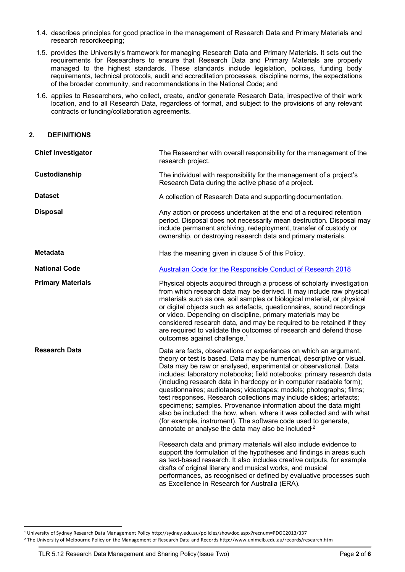- 1.4. describes principles for good practice in the management of Research Data and Primary Materials and research recordkeeping;
- 1.5. provides the University's framework for managing Research Data and Primary Materials. It sets out the requirements for Researchers to ensure that Research Data and Primary Materials are properly managed to the highest standards. These standards include legislation, policies, funding body requirements, technical protocols, audit and accreditation processes, discipline norms, the expectations of the broader community, and recommendations in the National Code; and
- 1.6. applies to Researchers, who collect, create, and/or generate Research Data, irrespective of their work location, and to all Research Data, regardless of format, and subject to the provisions of any relevant contracts or funding/collaboration agreements.

## **2. DEFINITIONS**

| <b>Chief Investigator</b> | The Researcher with overall responsibility for the management of the<br>research project.                                                                                                                                                                                                                                                                                                                                                                                                                                                                                                                                                                                                                                                                                                                                                                                                                                                                                                                                                                                                                                                                                                                    |
|---------------------------|--------------------------------------------------------------------------------------------------------------------------------------------------------------------------------------------------------------------------------------------------------------------------------------------------------------------------------------------------------------------------------------------------------------------------------------------------------------------------------------------------------------------------------------------------------------------------------------------------------------------------------------------------------------------------------------------------------------------------------------------------------------------------------------------------------------------------------------------------------------------------------------------------------------------------------------------------------------------------------------------------------------------------------------------------------------------------------------------------------------------------------------------------------------------------------------------------------------|
| Custodianship             | The individual with responsibility for the management of a project's<br>Research Data during the active phase of a project.                                                                                                                                                                                                                                                                                                                                                                                                                                                                                                                                                                                                                                                                                                                                                                                                                                                                                                                                                                                                                                                                                  |
| <b>Dataset</b>            | A collection of Research Data and supporting documentation.                                                                                                                                                                                                                                                                                                                                                                                                                                                                                                                                                                                                                                                                                                                                                                                                                                                                                                                                                                                                                                                                                                                                                  |
| <b>Disposal</b>           | Any action or process undertaken at the end of a required retention<br>period. Disposal does not necessarily mean destruction. Disposal may<br>include permanent archiving, redeployment, transfer of custody or<br>ownership, or destroying research data and primary materials.                                                                                                                                                                                                                                                                                                                                                                                                                                                                                                                                                                                                                                                                                                                                                                                                                                                                                                                            |
| <b>Metadata</b>           | Has the meaning given in clause 5 of this Policy.                                                                                                                                                                                                                                                                                                                                                                                                                                                                                                                                                                                                                                                                                                                                                                                                                                                                                                                                                                                                                                                                                                                                                            |
| <b>National Code</b>      | Australian Code for the Responsible Conduct of Research 2018                                                                                                                                                                                                                                                                                                                                                                                                                                                                                                                                                                                                                                                                                                                                                                                                                                                                                                                                                                                                                                                                                                                                                 |
| <b>Primary Materials</b>  | Physical objects acquired through a process of scholarly investigation<br>from which research data may be derived. It may include raw physical<br>materials such as ore, soil samples or biological material, or physical<br>or digital objects such as artefacts, questionnaires, sound recordings<br>or video. Depending on discipline, primary materials may be<br>considered research data, and may be required to be retained if they<br>are required to validate the outcomes of research and defend those<br>outcomes against challenge. <sup>1</sup>                                                                                                                                                                                                                                                                                                                                                                                                                                                                                                                                                                                                                                                 |
| <b>Research Data</b>      | Data are facts, observations or experiences on which an argument,<br>theory or test is based. Data may be numerical, descriptive or visual.<br>Data may be raw or analysed, experimental or observational. Data<br>includes: laboratory notebooks; field notebooks; primary research data<br>(including research data in hardcopy or in computer readable form);<br>questionnaires; audiotapes; videotapes; models; photographs; films;<br>test responses. Research collections may include slides; artefacts;<br>specimens; samples. Provenance information about the data might<br>also be included: the how, when, where it was collected and with what<br>(for example, instrument). The software code used to generate,<br>annotate or analyse the data may also be included <sup>2</sup><br>Research data and primary materials will also include evidence to<br>support the formulation of the hypotheses and findings in areas such<br>as text-based research. It also includes creative outputs, for example<br>drafts of original literary and musical works, and musical<br>performances, as recognised or defined by evaluative processes such<br>as Excellence in Research for Australia (ERA). |

<span id="page-1-0"></span><sup>1</sup> University of Sydney Research Data Management Policy http://sydney.edu.au/policies/showdoc.aspx?recnum=PDOC2013/337

<span id="page-1-1"></span><sup>2</sup> The University of Melbourne Policy on the Management of Research Data and Records http://www.unimelb.edu.au/records/research.htm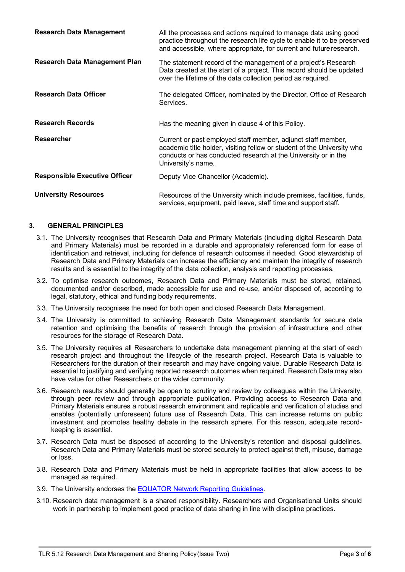| <b>Research Data Management</b>      | All the processes and actions required to manage data using good<br>practice throughout the research life cycle to enable it to be preserved<br>and accessible, where appropriate, for current and future research.             |
|--------------------------------------|---------------------------------------------------------------------------------------------------------------------------------------------------------------------------------------------------------------------------------|
| <b>Research Data Management Plan</b> | The statement record of the management of a project's Research<br>Data created at the start of a project. This record should be updated<br>over the lifetime of the data collection period as required.                         |
| <b>Research Data Officer</b>         | The delegated Officer, nominated by the Director, Office of Research<br>Services.                                                                                                                                               |
| <b>Research Records</b>              | Has the meaning given in clause 4 of this Policy.                                                                                                                                                                               |
| <b>Researcher</b>                    | Current or past employed staff member, adjunct staff member,<br>academic title holder, visiting fellow or student of the University who<br>conducts or has conducted research at the University or in the<br>University's name. |
| <b>Responsible Executive Officer</b> | Deputy Vice Chancellor (Academic).                                                                                                                                                                                              |
| <b>University Resources</b>          | Resources of the University which include premises, facilities, funds,<br>services, equipment, paid leave, staff time and support staff.                                                                                        |

## **3. GENERAL PRINCIPLES**

- 3.1. The University recognises that Research Data and Primary Materials (including digital Research Data and Primary Materials) must be recorded in a durable and appropriately referenced form for ease of identification and retrieval, including for defence of research outcomes if needed. Good stewardship of Research Data and Primary Materials can increase the efficiency and maintain the integrity of research results and is essential to the integrity of the data collection, analysis and reporting processes.
- 3.2. To optimise research outcomes, Research Data and Primary Materials must be stored, retained, documented and/or described, made accessible for use and re-use, and/or disposed of, according to legal, statutory, ethical and funding body requirements.
- 3.3. The University recognises the need for both open and closed Research Data Management.
- 3.4. The University is committed to achieving Research Data Management standards for secure data retention and optimising the benefits of research through the provision of infrastructure and other resources for the storage of Research Data.
- 3.5. The University requires all Researchers to undertake data management planning at the start of each research project and throughout the lifecycle of the research project. Research Data is valuable to Researchers for the duration of their research and may have ongoing value. Durable Research Data is essential to justifying and verifying reported research outcomes when required. Research Data may also have value for other Researchers or the wider community.
- 3.6. Research results should generally be open to scrutiny and review by colleagues within the University, through peer review and through appropriate publication. Providing access to Research Data and Primary Materials ensures a robust research environment and replicable and verification of studies and enables (potentially unforeseen) future use of Research Data. This can increase returns on public investment and promotes healthy debate in the research sphere. For this reason, adequate recordkeeping is essential.
- 3.7. Research Data must be disposed of according to the University's retention and disposal guidelines. Research Data and Primary Materials must be stored securely to protect against theft, misuse, damage or loss.
- 3.8. Research Data and Primary Materials must be held in appropriate facilities that allow access to be managed as required.
- 3.9. The University endorses the [EQUATOR Network Reporting Guidelines.](http://www.equator-network.org/reporting-guidelines/)
- 3.10. Research data management is a shared responsibility. Researchers and Organisational Units should work in partnership to implement good practice of data sharing in line with discipline practices.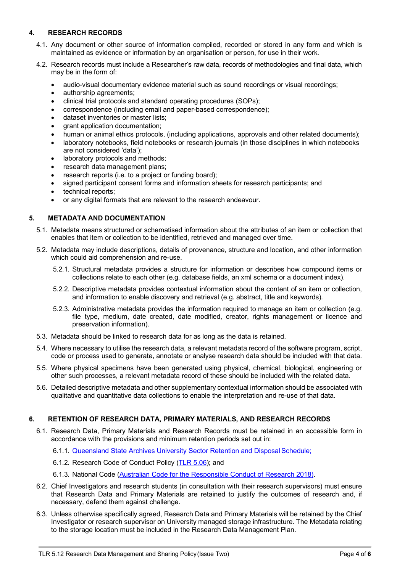# **4. RESEARCH RECORDS**

- 4.1. Any document or other source of information compiled, recorded or stored in any form and which is maintained as evidence or information by an organisation or person, for use in their work.
- 4.2. Research records must include a Researcher's raw data, records of methodologies and final data, which may be in the form of:
	- audio-visual documentary evidence material such as sound recordings or visual recordings;
	- authorship agreements;
	- clinical trial protocols and standard operating procedures (SOPs);
	- correspondence (including email and paper-based correspondence);
	- dataset inventories or master lists;
	- grant application documentation:
	- human or animal ethics protocols, (including applications, approvals and other related documents);
	- laboratory notebooks, field notebooks or research journals (in those disciplines in which notebooks are not considered 'data');
	- laboratory protocols and methods;
	- research data management plans;
	- research reports (i.e. to a project or funding board);
	- signed participant consent forms and information sheets for research participants; and
	- technical reports:
	- or any digital formats that are relevant to the research endeavour.

## **5. METADATA AND DOCUMENTATION**

- 5.1. Metadata means structured or schematised information about the attributes of an item or collection that enables that item or collection to be identified, retrieved and managed over time.
- 5.2. Metadata may include descriptions, details of provenance, structure and location, and other information which could aid comprehension and re-use.
	- 5.2.1. Structural metadata provides a structure for information or describes how compound items or collections relate to each other (e.g. database fields, an xml schema or a document index).
	- 5.2.2. Descriptive metadata provides contextual information about the content of an item or collection, and information to enable discovery and retrieval (e.g. abstract, title and keywords).
	- 5.2.3. Administrative metadata provides the information required to manage an item or collection (e.g. file type, medium, date created, date modified, creator, rights management or licence and preservation information).
- 5.3. Metadata should be linked to research data for as long as the data is retained.
- 5.4. Where necessary to utilise the research data, a relevant metadata record of the software program, script, code or process used to generate, annotate or analyse research data should be included with that data.
- 5.5. Where physical specimens have been generated using physical, chemical, biological, engineering or other such processes, a relevant metadata record of these should be included with the related data.
- 5.6. Detailed descriptive metadata and other supplementary contextual information should be associated with qualitative and quantitative data collections to enable the interpretation and re-use of that data.

## **6. RETENTION OF RESEARCH DATA, PRIMARY MATERIALS, AND RESEARCH RECORDS**

- 6.1. Research Data, Primary Materials and Research Records must be retained in an accessible form in accordance with the provisions and minimum retention periods set out in:
	- 6.1.1. Queensland State Archives [University Sector Retention and Disposal](https://www.forgov.qld.gov.au/schedules/university-sector-retention-and-disposal-schedule) Schedule;
	- 6.1.2. Research Code of Conduct Policy [\(TLR 5.06\)](https://bond.edu.au/files/955/TLR506.pdf); and
	- 6.1.3. National Code [\(Australian Code for the Responsible Conduct of Research 2018\)](https://nhmrc.gov.au/about-us/publications/australian-code-responsible-conduct-research-2018).
- 6.2. Chief Investigators and research students (in consultation with their research supervisors) must ensure that Research Data and Primary Materials are retained to justify the outcomes of research and, if necessary, defend them against challenge.
- 6.3. Unless otherwise specifically agreed, Research Data and Primary Materials will be retained by the Chief Investigator or research supervisor on University managed storage infrastructure. The Metadata relating to the storage location must be included in the Research Data Management Plan.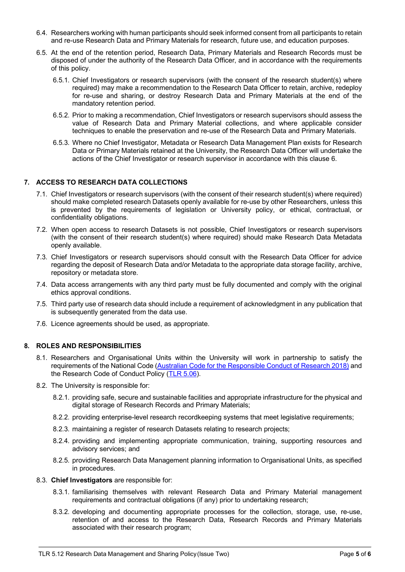- 6.4. Researchers working with human participants should seek informed consent from all participants to retain and re-use Research Data and Primary Materials for research, future use, and education purposes.
- 6.5. At the end of the retention period, Research Data, Primary Materials and Research Records must be disposed of under the authority of the Research Data Officer, and in accordance with the requirements of this policy.
	- 6.5.1. Chief Investigators or research supervisors (with the consent of the research student(s) where required) may make a recommendation to the Research Data Officer to retain, archive, redeploy for re-use and sharing, or destroy Research Data and Primary Materials at the end of the mandatory retention period.
	- 6.5.2. Prior to making a recommendation, Chief Investigators or research supervisors should assess the value of Research Data and Primary Material collections, and where applicable consider techniques to enable the preservation and re-use of the Research Data and Primary Materials.
	- 6.5.3. Where no Chief Investigator, Metadata or Research Data Management Plan exists for Research Data or Primary Materials retained at the University, the Research Data Officer will undertake the actions of the Chief Investigator or research supervisor in accordance with this clause 6.

## **7. ACCESS TO RESEARCH DATA COLLECTIONS**

- 7.1. Chief Investigators or research supervisors (with the consent of their research student(s) where required) should make completed research Datasets openly available for re-use by other Researchers, unless this is prevented by the requirements of legislation or University policy, or ethical, contractual, or confidentiality obligations.
- 7.2. When open access to research Datasets is not possible, Chief Investigators or research supervisors (with the consent of their research student(s) where required) should make Research Data Metadata openly available.
- 7.3. Chief Investigators or research supervisors should consult with the Research Data Officer for advice regarding the deposit of Research Data and/or Metadata to the appropriate data storage facility, archive, repository or metadata store.
- 7.4. Data access arrangements with any third party must be fully documented and comply with the original ethics approval conditions.
- 7.5. Third party use of research data should include a requirement of acknowledgment in any publication that is subsequently generated from the data use.
- 7.6. Licence agreements should be used, as appropriate.

## **8. ROLES AND RESPONSIBILITIES**

- 8.1. Researchers and Organisational Units within the University will work in partnership to satisfy the requirements of the National Code [\(Australian Code for the Responsible Conduct of Research 2018\)](https://nhmrc.gov.au/about-us/publications/australian-code-responsible-conduct-research-2018) and the Research Code of Conduct Policy [\(TLR 5.06\)](https://bond.edu.au/files/955/TLR506.pdf).
- 8.2. The University is responsible for:
	- 8.2.1. providing safe, secure and sustainable facilities and appropriate infrastructure for the physical and digital storage of Research Records and Primary Materials;
	- 8.2.2. providing enterprise-level research recordkeeping systems that meet legislative requirements;
	- 8.2.3. maintaining a register of research Datasets relating to research projects;
	- 8.2.4. providing and implementing appropriate communication, training, supporting resources and advisory services; and
	- 8.2.5. providing Research Data Management planning information to Organisational Units, as specified in procedures.
- 8.3. **Chief Investigators** are responsible for:
	- 8.3.1. familiarising themselves with relevant Research Data and Primary Material management requirements and contractual obligations (if any) prior to undertaking research;
	- 8.3.2. developing and documenting appropriate processes for the collection, storage, use, re-use, retention of and access to the Research Data, Research Records and Primary Materials associated with their research program;